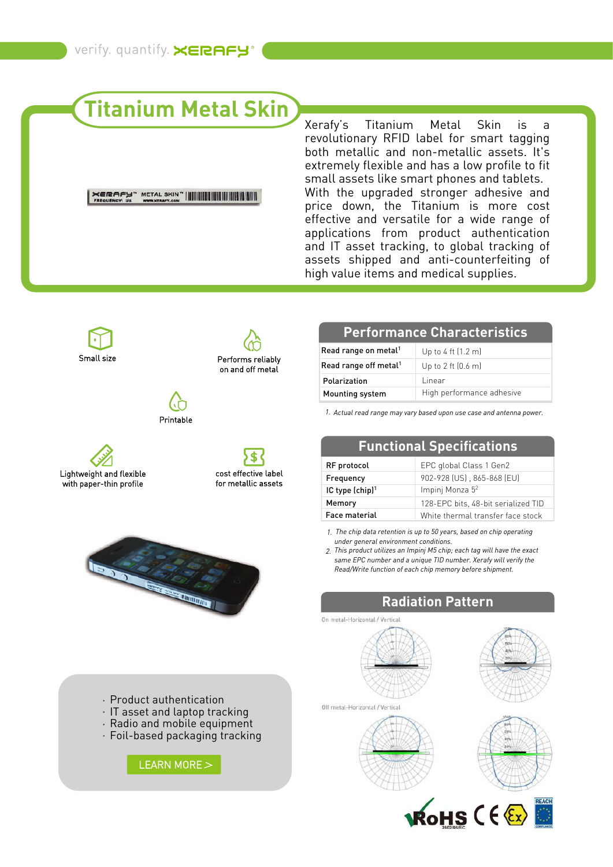# **Titanium Metal Skin**

#### 

Xerafy's Titanium Metal Skin is a revolutionary RFID label for smart tagging both metallic and non-metallic assets. It's extremely flexible and has a low profile to fit small assets like smart phones and tablets. With the upgraded stronger adhesive and price down, the Titanium is more cost effective and versatile for a wide range of applications from product authentication and IT asset tracking, to global tracking of assets shipped and anti-counterfeiting of high value items and medical supplies.



on and off metal





S. cost effective label for metallic assets



| Read range on metal <sup>1</sup>  | Up to 4 ft $(1.2 \text{ m})$   |
|-----------------------------------|--------------------------------|
| Read range off metal <sup>1</sup> | Up to $2$ ft $(0.6 \text{ m})$ |
| Polarization                      | Linear                         |
| Mounting system                   | High performance adhesive      |

*1. Actual read range may vary based upon use case and antenna power.*

| <b>FUNCTIONAL SPECING CITY</b> |                                     |  |
|--------------------------------|-------------------------------------|--|
| RF protocol                    | EPC global Class 1 Gen2             |  |
| Frequency                      | 902-928 (US), 865-868 (EU)          |  |
| IC type (chip) <sup>1</sup>    | Impinj Monza 5 <sup>2</sup>         |  |
| Memory                         | 128-EPC bits, 48-bit serialized TID |  |
| <b>Face material</b>           | White thermal transfer face stock   |  |

**Functional Specifications**

*1. The chip data retention is up to 50 years, based on chip operating under general environment conditions.*

*This product utilizes an Impinj M5 chip; each tag will have the exact 2. same EPC number and a unique TID number. Xerafy will verify the Read/Write function of each chip memory before shipment.*

### **Radiation Pattern**



On metal-Horizontal / Vertical





Product authentication

- $\cdot$  IT asset and laptop tracking
- Radio and mobile equipment
- Foil-based packaging tracking

[LEARN MORE](https://www.xerafy.com/post/how-richardson-pd-saves-time-and-improves-access-control) >